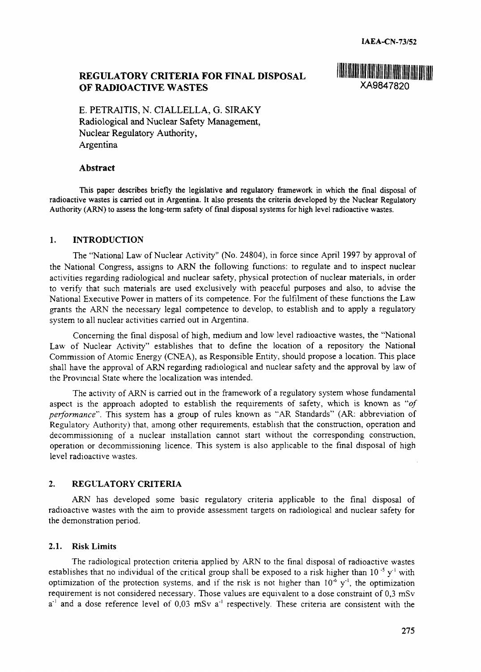# **REGULATORY CRITERIA FOR FINAL DISPOSAL OF RADIOACTIVE WASTES** XA9847820



E. PETRAITIS, N. CIALLELLA, G. SIRAKY Radiological and Nuclear Safety Management, Nuclear Regulatory Authority, Argentina

#### **Abstract**

This paper describes briefly the legislative and regulatory framework in which the final disposal of radioactive wastes is carried out in Argentina. It also presents the criteria developed by the Nuclear Regulatory Authority (ARN) to assess the long-term safety of final disposal systems for high level radioactive wastes.

#### **1. INTRODUCTION**

The "National Law of Nuclear Activity" (No. 24804), in force since April 1997 by approval of the National Congress, assigns to ARN the following functions: to regulate and to inspect nuclear activities regarding radiological and nuclear safety, physical protection of nuclear materials, in order to verify that such materials are used exclusively with peaceful purposes and also, to advise the National Executive Power in matters of its competence. For the fulfilment of these functions the Law grants the ARN the necessary legal competence to develop, to establish and to apply a regulatory system to all nuclear activities carried out in Argentina.

Concerning the final disposal of high, medium and low level radioactive wastes, the "National Law of Nuclear Activity" establishes that to define the location of a repository the National Commission of Atomic Energy (CNEA), as Responsible Entity, should propose a location. This place shall have the approval of ARN regarding radiological and nuclear safety and the approval by law of the Provincial State where the localization was intended.

The activity of ARN is carried out in the framework of a regulatory system whose fundamental aspect is the approach adopted to establish the requirements of safety, which is known as *"of performance".* This system has a group of rules known as "AR Standards" (AR: abbreviation of Regulatory Authority) that, among other requirements, establish that the construction, operation and decommissioning of a nuclear installation cannot start without the corresponding construction, operation or decommissioning licence. This system is also applicable to the final disposal of high level radioactive wastes.

#### **2. REGULATORY CRITERIA**

ARN has developed some basic regulatory criteria applicable to the final disposal of radioactive wastes with the aim to provide assessment targets on radiological and nuclear safety for the demonstration period.

#### **2.1. Risk Limits**

The radiological protection criteria applied by ARN to the final disposal of radioactive wastes establishes that no individual of the critical group shall be exposed to a risk higher than  $10^{-5}$  y<sup>-1</sup> with optimization of the protection systems, and if the risk is not higher than  $10^{-6}$  y<sup>-1</sup>, the optimization requirement is not considered necessary. Those values are equivalent to a dose constraint of 0,3 mSv a<sup>-1</sup> and a dose reference level of 0,03 mSv a<sup>-1</sup> respectively. These criteria are consistent with the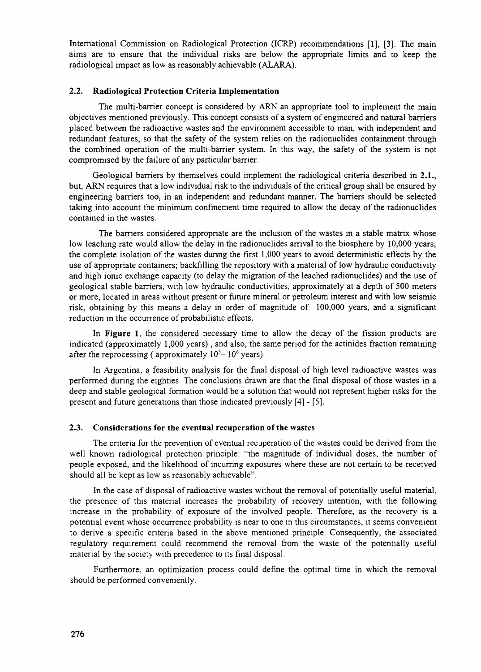International Commission on Radiological Protection (ICRP) recommendations [1], [3]. The main aims are to ensure that the individual risks are below the appropriate limits and to keep the radiological impact as low as reasonably achievable (ALARA).

## **2.2. Radiological Protection Criteria Implementation**

The multi-barrier concept is considered by ARN an appropriate tool to implement the main objectives mentioned previously. This concept consists of a system of engineered and natural barriers placed between the radioactive wastes and the environment accessible to man, with independent and redundant features, so that the safety of the system relies on the radionuclides containment through the combined operation of the multi-barrier system. In this way, the safety of the system is not compromised by the failure of any particular barrier.

Geological barriers by themselves could implement the radiological criteria described in 2.1., but, ARN requires that a low individual risk to the individuals of the critical group shall be ensured by engineering barriers too, in an independent and redundant manner. The barriers should be selected taking into account the minimum confinement time required to allow the decay of the radionuclides contained in the wastes.

The barriers considered appropriate are the inclusion of the wastes in a stable matrix whose low leaching rate would allow the delay in the radionuclides arrival to the biosphere by 10,000 years; the complete isolation of the wastes during the first 1,000 years to avoid deterministic effects by the use of appropriate containers; backfilling the repository with a material of low hydraulic conductivity and high ionic exchange capacity (to delay the migration of the leached radionuclides) and the use of geological stable barriers, with low hydraulic conductivities, approximately at a depth of 500 meters or more, located in areas without present or future mineral or petroleum interest and with low seismic risk, obtaining by this means a delay in order of magnitude of 100,000 years, and a significant reduction in the occurrence of probabilistic effects.

In **Figure** 1, the considered necessary time to allow the decay of the fission products are indicated (approximately 1,000 years), and also, the same period for the actinides fraction remaining after the reprocessing (approximately  $10^5 - 10^6$  years).

In Argentina, a feasibility analysis for the final disposal of high level radioactive wastes was performed during the eighties. The conclusions drawn are that the final disposal of those wastes in a deep and stable geological formation would be a solution that would not represent higher risks for the present and future generations than those indicated previously [4] - [5].

### **2.3. Considerations for the eventual recuperation** of **the wastes**

The criteria for the prevention of eventual recuperation of the wastes could be derived from the well known radiological protection principle: "the magnitude of individual doses, the number of people exposed, and the likelihood of incurring exposures where these are not certain to be received should all be kept as low as reasonably achievable".

In the case of disposal of radioactive wastes without the removal of potentially useful material, the presence of this material increases the probability of recovery intention, with the following increase in the probability of exposure of the involved people. Therefore, as the recovery is a potential event whose occurrence probability is near to one in this circumstances, it seems convenient to derive a specific criteria based in the above mentioned principle. Consequently, the associated regulatory requirement could recommend the removal from the waste of the potentially useful material by the society with precedence to its final disposal.

Furthermore, an optimization process could define the optimal time in which the removal should be performed conveniently.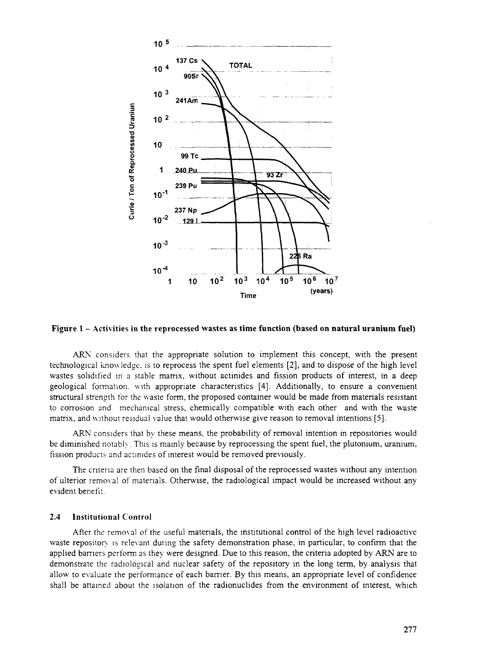

Figure 1 - Activities in the reprocessed wastes as time function (based on natural uranium fuel)

ARN considers that the appropriate solution to implement this concept, with the present technological knowledge, is to reprocess the spent fuel elements [2], and to dispose of the high level wastes solidified in a stable matrix, without actinides and fission products of interest, in a deep geological formation. with appropriate characteristics [4]. Additionally, to ensure a convenient structural strength for the waste form, the proposed container would be made from materials resistant to corrosion and mechanical stress, chemically compatible with each other and with the waste matrix, and without residual value that would otherwise give reason to removal intentions [5].

ARN considers that by these means, the probability of removal intention in repositories would be diminished notably. This is mainly because by reprocessing the spent fuel, the plutonium, uranium, fission products and actinides of interest would be removed previously.

The criteria are then based on the final disposal of the reprocessed wastes without any intention of ulterior removal of materials. Otherwise, the radiological impact would be increased without any evident benefit.

#### $2.4$ **Institutional Control**

After the removal of the useful materials, the institutional control of the high level radioactive waste repository is relevant during the safety demonstration phase, in particular, to confirm that the applied barriers perform as they were designed. Due to this reason, the criteria adopted by ARN are to demonstrate the radiological and nuclear safety of the repository in the long term, by analysis that allow to evaluate the performance of each barrier. By this means, an appropriate level of confidence shall be attained about the isolation of the radionuclides from the environment of interest, which